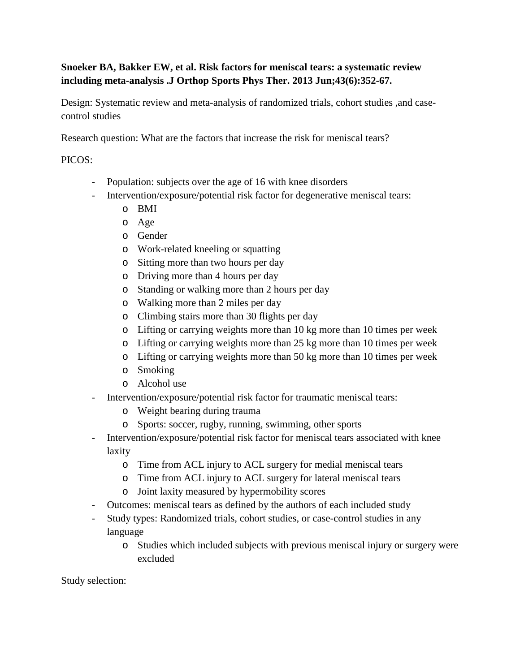## **Snoeker BA, Bakker EW, et al. Risk factors for meniscal tears: a systematic review including meta-analysis .J Orthop Sports Phys Ther. 2013 Jun;43(6):352-67.**

Design: Systematic review and meta-analysis of randomized trials, cohort studies ,and casecontrol studies

Research question: What are the factors that increase the risk for meniscal tears?

## PICOS:

- Population: subjects over the age of 16 with knee disorders
- Intervention/exposure/potential risk factor for degenerative meniscal tears:
	- o BMI
	- o Age
	- o Gender
	- o Work-related kneeling or squatting
	- o Sitting more than two hours per day
	- o Driving more than 4 hours per day
	- o Standing or walking more than 2 hours per day
	- o Walking more than 2 miles per day
	- o Climbing stairs more than 30 flights per day
	- o Lifting or carrying weights more than 10 kg more than 10 times per week
	- o Lifting or carrying weights more than 25 kg more than 10 times per week
	- o Lifting or carrying weights more than 50 kg more than 10 times per week
	- o Smoking
	- o Alcohol use
- Intervention/exposure/potential risk factor for traumatic meniscal tears:
	- o Weight bearing during trauma
	- o Sports: soccer, rugby, running, swimming, other sports
- Intervention/exposure/potential risk factor for meniscal tears associated with knee laxity
	- o Time from ACL injury to ACL surgery for medial meniscal tears
	- o Time from ACL injury to ACL surgery for lateral meniscal tears
	- o Joint laxity measured by hypermobility scores
- Outcomes: meniscal tears as defined by the authors of each included study
- Study types: Randomized trials, cohort studies, or case-control studies in any language
	- o Studies which included subjects with previous meniscal injury or surgery were excluded

Study selection: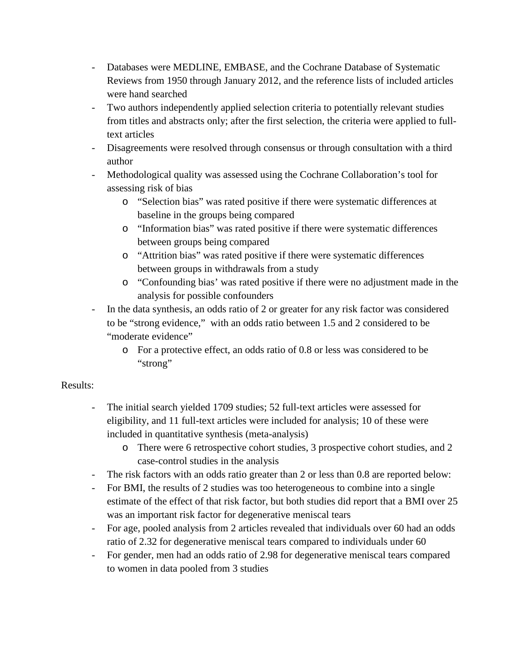- Databases were MEDLINE, EMBASE, and the Cochrane Database of Systematic Reviews from 1950 through January 2012, and the reference lists of included articles were hand searched
- Two authors independently applied selection criteria to potentially relevant studies from titles and abstracts only; after the first selection, the criteria were applied to fulltext articles
- Disagreements were resolved through consensus or through consultation with a third author
- Methodological quality was assessed using the Cochrane Collaboration's tool for assessing risk of bias
	- o "Selection bias" was rated positive if there were systematic differences at baseline in the groups being compared
	- o "Information bias" was rated positive if there were systematic differences between groups being compared
	- o "Attrition bias" was rated positive if there were systematic differences between groups in withdrawals from a study
	- o "Confounding bias' was rated positive if there were no adjustment made in the analysis for possible confounders
- In the data synthesis, an odds ratio of 2 or greater for any risk factor was considered to be "strong evidence," with an odds ratio between 1.5 and 2 considered to be "moderate evidence"
	- o For a protective effect, an odds ratio of 0.8 or less was considered to be "strong"

## Results:

- The initial search yielded 1709 studies; 52 full-text articles were assessed for eligibility, and 11 full-text articles were included for analysis; 10 of these were included in quantitative synthesis (meta-analysis)
	- o There were 6 retrospective cohort studies, 3 prospective cohort studies, and 2 case-control studies in the analysis
- The risk factors with an odds ratio greater than 2 or less than 0.8 are reported below:
- For BMI, the results of 2 studies was too heterogeneous to combine into a single estimate of the effect of that risk factor, but both studies did report that a BMI over 25 was an important risk factor for degenerative meniscal tears
- For age, pooled analysis from 2 articles revealed that individuals over 60 had an odds ratio of 2.32 for degenerative meniscal tears compared to individuals under 60
- For gender, men had an odds ratio of 2.98 for degenerative meniscal tears compared to women in data pooled from 3 studies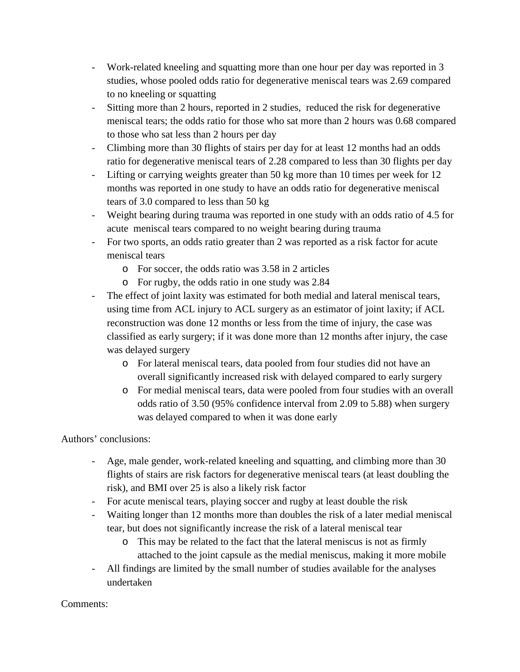- Work-related kneeling and squatting more than one hour per day was reported in 3 studies, whose pooled odds ratio for degenerative meniscal tears was 2.69 compared to no kneeling or squatting
- Sitting more than 2 hours, reported in 2 studies, reduced the risk for degenerative meniscal tears; the odds ratio for those who sat more than 2 hours was 0.68 compared to those who sat less than 2 hours per day
- Climbing more than 30 flights of stairs per day for at least 12 months had an odds ratio for degenerative meniscal tears of 2.28 compared to less than 30 flights per day
- Lifting or carrying weights greater than 50 kg more than 10 times per week for 12 months was reported in one study to have an odds ratio for degenerative meniscal tears of 3.0 compared to less than 50 kg
- Weight bearing during trauma was reported in one study with an odds ratio of 4.5 for acute meniscal tears compared to no weight bearing during trauma
- For two sports, an odds ratio greater than 2 was reported as a risk factor for acute meniscal tears
	- o For soccer, the odds ratio was 3.58 in 2 articles
	- o For rugby, the odds ratio in one study was 2.84
- The effect of joint laxity was estimated for both medial and lateral meniscal tears, using time from ACL injury to ACL surgery as an estimator of joint laxity; if ACL reconstruction was done 12 months or less from the time of injury, the case was classified as early surgery; if it was done more than 12 months after injury, the case was delayed surgery
	- o For lateral meniscal tears, data pooled from four studies did not have an overall significantly increased risk with delayed compared to early surgery
	- o For medial meniscal tears, data were pooled from four studies with an overall odds ratio of 3.50 (95% confidence interval from 2.09 to 5.88) when surgery was delayed compared to when it was done early

Authors' conclusions:

- Age, male gender, work-related kneeling and squatting, and climbing more than 30 flights of stairs are risk factors for degenerative meniscal tears (at least doubling the risk), and BMI over 25 is also a likely risk factor
- For acute meniscal tears, playing soccer and rugby at least double the risk
- Waiting longer than 12 months more than doubles the risk of a later medial meniscal tear, but does not significantly increase the risk of a lateral meniscal tear
	- o This may be related to the fact that the lateral meniscus is not as firmly attached to the joint capsule as the medial meniscus, making it more mobile
- All findings are limited by the small number of studies available for the analyses undertaken

Comments: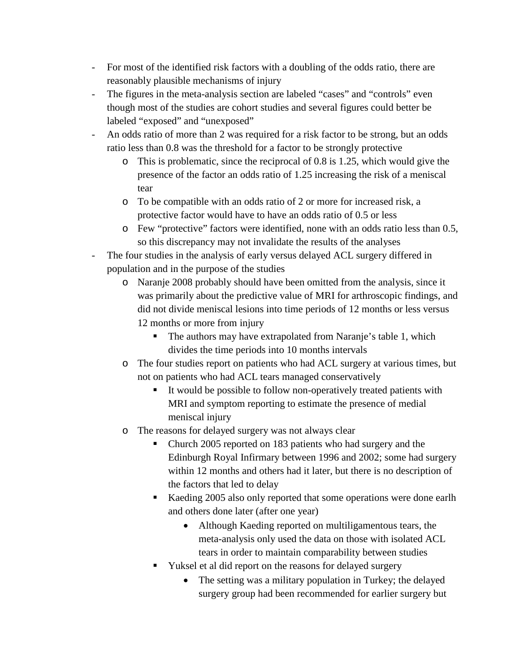- For most of the identified risk factors with a doubling of the odds ratio, there are reasonably plausible mechanisms of injury
- The figures in the meta-analysis section are labeled "cases" and "controls" even though most of the studies are cohort studies and several figures could better be labeled "exposed" and "unexposed"
- An odds ratio of more than 2 was required for a risk factor to be strong, but an odds ratio less than 0.8 was the threshold for a factor to be strongly protective
	- o This is problematic, since the reciprocal of 0.8 is 1.25, which would give the presence of the factor an odds ratio of 1.25 increasing the risk of a meniscal tear
	- o To be compatible with an odds ratio of 2 or more for increased risk, a protective factor would have to have an odds ratio of 0.5 or less
	- o Few "protective" factors were identified, none with an odds ratio less than 0.5, so this discrepancy may not invalidate the results of the analyses
- The four studies in the analysis of early versus delayed ACL surgery differed in population and in the purpose of the studies
	- o Naranje 2008 probably should have been omitted from the analysis, since it was primarily about the predictive value of MRI for arthroscopic findings, and did not divide meniscal lesions into time periods of 12 months or less versus 12 months or more from injury
		- The authors may have extrapolated from Naranje's table 1, which divides the time periods into 10 months intervals
	- o The four studies report on patients who had ACL surgery at various times, but not on patients who had ACL tears managed conservatively
		- It would be possible to follow non-operatively treated patients with MRI and symptom reporting to estimate the presence of medial meniscal injury
	- o The reasons for delayed surgery was not always clear
		- Church 2005 reported on 183 patients who had surgery and the Edinburgh Royal Infirmary between 1996 and 2002; some had surgery within 12 months and others had it later, but there is no description of the factors that led to delay
		- Kaeding 2005 also only reported that some operations were done earlh and others done later (after one year)
			- Although Kaeding reported on multiligamentous tears, the meta-analysis only used the data on those with isolated ACL tears in order to maintain comparability between studies
		- Yuksel et al did report on the reasons for delayed surgery
			- The setting was a military population in Turkey; the delayed surgery group had been recommended for earlier surgery but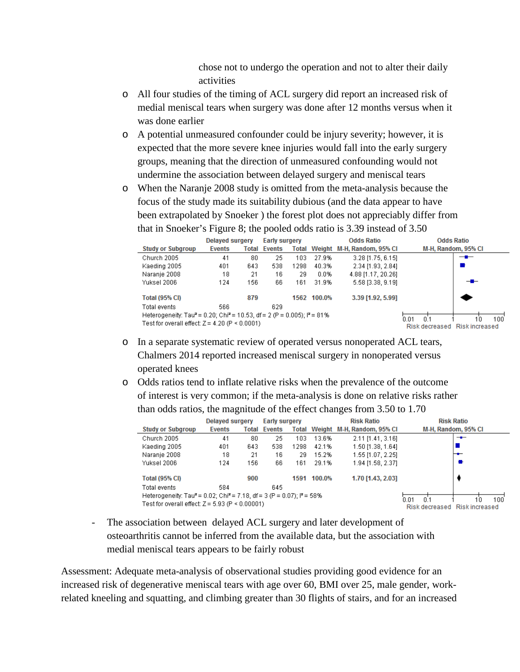chose not to undergo the operation and not to alter their daily activities

- o All four studies of the timing of ACL surgery did report an increased risk of medial meniscal tears when surgery was done after 12 months versus when it was done earlier
- o A potential unmeasured confounder could be injury severity; however, it is expected that the more severe knee injuries would fall into the early surgery groups, meaning that the direction of unmeasured confounding would not undermine the association between delayed surgery and meniscal tears
- o When the Naranje 2008 study is omitted from the meta-analysis because the focus of the study made its suitability dubious (and the data appear to have been extrapolated by Snoeker ) the forest plot does not appreciably differ from that in Snoeker's Figure 8; the pooled odds ratio is 3.39 instead of 3.50

|                                                                                                                                   | Delaved surgery |       | <b>Early surgery</b>                       |      | <b>Odds Ratio</b>   |                    | <b>Odds Ratio</b> |                                      |  |
|-----------------------------------------------------------------------------------------------------------------------------------|-----------------|-------|--------------------------------------------|------|---------------------|--------------------|-------------------|--------------------------------------|--|
| <b>Study or Subgroup</b>                                                                                                          | <b>Events</b>   | Total | Total Weight M-H, Random, 95% CI<br>Events |      | M-H, Random, 95% CI |                    |                   |                                      |  |
| Church 2005                                                                                                                       | 41              | 80    | 25                                         | 103  | 27.9%               | 3.28 [1.75, 6.15]  |                   | — <b>—</b>                           |  |
| Kaeding 2005                                                                                                                      | 401             | 643   | 538                                        | 1298 | 40.3%               | 2.34 [1.93, 2.84]  |                   |                                      |  |
| Naranje 2008                                                                                                                      | 18              | 21    | 16                                         | 29   | $0.0\%$             | 4.88 [1.17, 20.26] |                   |                                      |  |
| Yuksel 2006                                                                                                                       | 124             | 156   | 66                                         | 161  | 31.9%               | 5.58 [3.38, 9.19]  |                   | --                                   |  |
| <b>Total (95% CI)</b>                                                                                                             |                 | 879   |                                            |      | 1562 100.0%         | 3.39 [1.92, 5.99]  |                   |                                      |  |
| Total events                                                                                                                      | 566             |       | 629                                        |      |                     |                    |                   |                                      |  |
| Heterogeneity: Tau <sup>2</sup> = 0.20; Chi <sup>2</sup> = 10.53, df = 2 (P = 0.005); $P = 81\%$<br>0 <sup>1</sup><br>N N 1<br>10 |                 |       |                                            |      |                     |                    |                   |                                      |  |
| Test for overall effect: $Z = 4.20$ (P < 0.0001)                                                                                  |                 |       |                                            |      |                     |                    |                   | 100<br>Risk decreased Risk increased |  |

- o In a separate systematic review of operated versus nonoperated ACL tears, Chalmers 2014 reported increased meniscal surgery in nonoperated versus operated knees
- o Odds ratios tend to inflate relative risks when the prevalence of the outcome of interest is very common; if the meta-analysis is done on relative risks rather than odds ratios, the magnitude of the effect changes from 3.50 to 1.70

|                                                                                                          | Delaved surgery         |                               | <b>Early surgery</b> |       | <b>Risk Ratio</b> |                            | <b>Risk Ratio</b>   |     |
|----------------------------------------------------------------------------------------------------------|-------------------------|-------------------------------|----------------------|-------|-------------------|----------------------------|---------------------|-----|
| <b>Study or Subgroup</b>                                                                                 | Events                  | Total                         | Events               | Total |                   | Weight M-H, Random, 95% CI | M-H, Random, 95% CI |     |
| Church 2005                                                                                              | 41                      | 80                            | 25                   | 103   | 13.6%             | 2.11 [1.41, 3.16]          |                     | $-$ |
| Kaeding 2005                                                                                             | 401                     | 643                           | 538                  | 1298  | 42.1%             | 1.50 [1.38, 1.64]          |                     |     |
| Naranie 2008                                                                                             | 18                      | 21                            | 16                   | 29    | 15.2%             | 1.55 [1.07, 2.25]          |                     |     |
| Yuksel 2006                                                                                              | 124                     | 156                           | 66                   | 161   | 29.1%             | 1.94 [1.58, 2.37]          |                     |     |
| <b>Total (95% CI)</b>                                                                                    |                         | 900                           |                      | 1591  | 100.0%            | 1.70 [1.43, 2.03]          |                     |     |
| Total events                                                                                             | 584                     |                               | 645                  |       |                   |                            |                     |     |
| Heterogeneity: Tau <sup>2</sup> = 0.02; Chi <sup>2</sup> = 7.18, df = 3 (P = 0.07); l <sup>2</sup> = 58% | 'n n1<br>0 <sup>1</sup> | 100<br>10                     |                      |       |                   |                            |                     |     |
| Test for overall effect: $Z = 5.93$ (P < 0.00001)                                                        |                         | Risk decreased Risk increased |                      |       |                   |                            |                     |     |

- The association between delayed ACL surgery and later development of osteoarthritis cannot be inferred from the available data, but the association with medial meniscal tears appears to be fairly robust

Assessment: Adequate meta-analysis of observational studies providing good evidence for an increased risk of degenerative meniscal tears with age over 60, BMI over 25, male gender, workrelated kneeling and squatting, and climbing greater than 30 flights of stairs, and for an increased